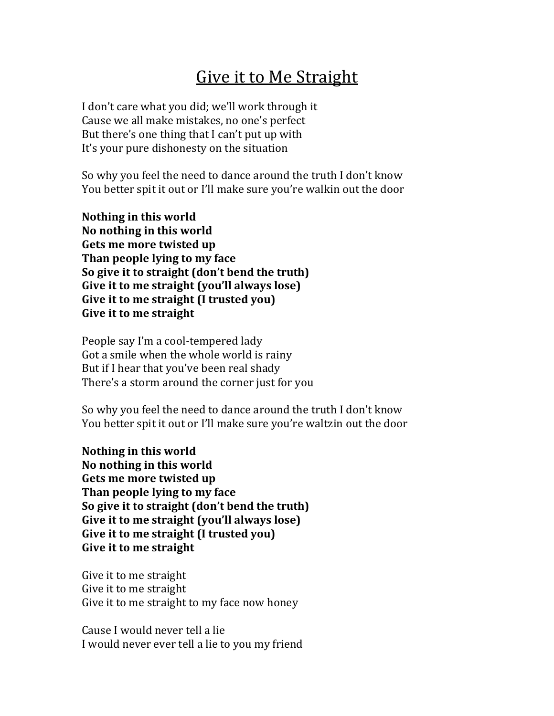## Give it to Me Straight

I don't care what you did; we'll work through it Cause we all make mistakes, no one's perfect But there's one thing that I can't put up with It's your pure dishonesty on the situation

So why you feel the need to dance around the truth I don't know You better spit it out or I'll make sure you're walkin out the door

**Nothing in this world No nothing in this world Gets me more twisted up Than people lying to my face So give it to straight (don't bend the truth) Give it to me straight (you'll always lose) Give it to me straight (I trusted you) Give it to me straight** 

People say I'm a cool-tempered lady Got a smile when the whole world is rainy But if I hear that you've been real shady There's a storm around the corner just for you

So why you feel the need to dance around the truth I don't know You better spit it out or I'll make sure you're waltzin out the door

**Nothing in this world No nothing in this world Gets me more twisted up Than people lying to my face So give it to straight (don't bend the truth)** Give it to me straight (you'll always lose) Give it to me straight (I trusted you) **Give it to me straight** 

Give it to me straight Give it to me straight Give it to me straight to my face now honey

Cause I would never tell a lie I would never ever tell a lie to you my friend